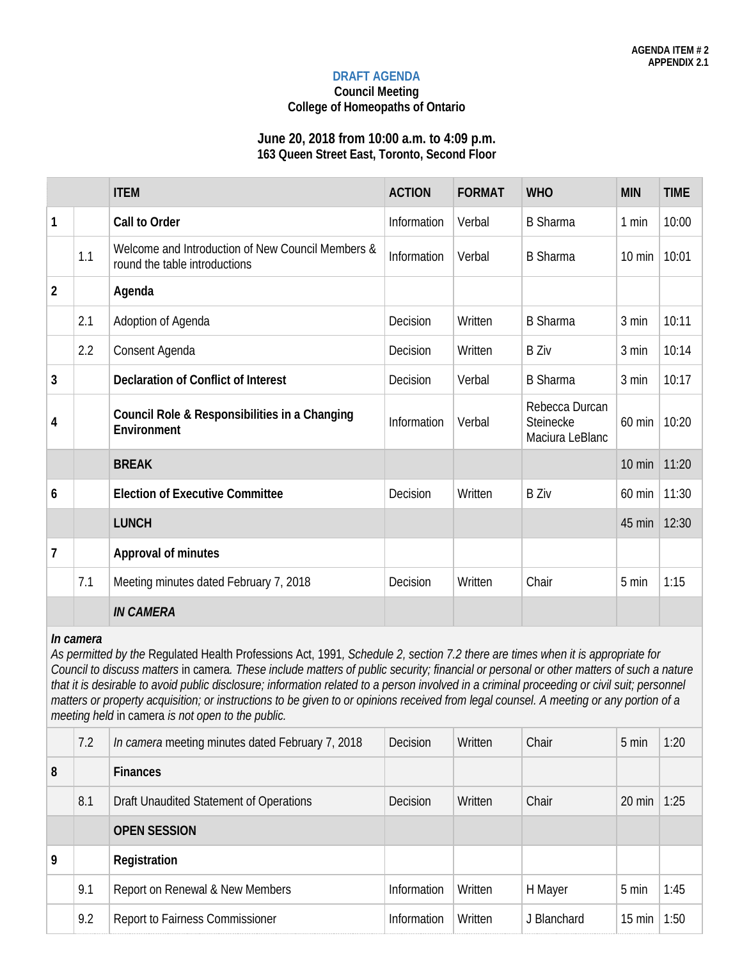#### **DRAFT AGENDA**

**Council Meeting**

# **College of Homeopaths of Ontario**

#### **June 20, 2018 from 10:00 a.m. to 4:09 p.m. 163 Queen Street East, Toronto, Second Floor**

|                |     | <b>ITEM</b>                                                                        | <b>ACTION</b> | <b>FORMAT</b> | <b>WHO</b>                                     | <b>MIN</b>       | <b>TIME</b> |
|----------------|-----|------------------------------------------------------------------------------------|---------------|---------------|------------------------------------------------|------------------|-------------|
| $\mathbf{1}$   |     | Call to Order                                                                      | Information   | Verbal        | <b>B</b> Sharma                                | 1 min            | 10:00       |
|                | 1.1 | Welcome and Introduction of New Council Members &<br>round the table introductions | Information   | Verbal        | <b>B</b> Sharma                                | $10 \text{ min}$ | 10:01       |
| $\overline{2}$ |     | Agenda                                                                             |               |               |                                                |                  |             |
|                | 2.1 | Adoption of Agenda                                                                 | Decision      | Written       | <b>B</b> Sharma                                | 3 min            | 10:11       |
|                | 2.2 | Consent Agenda                                                                     | Decision      | Written       | <b>B</b> Ziv                                   | 3 min            | 10:14       |
| $\mathbf{3}$   |     | <b>Declaration of Conflict of Interest</b>                                         | Decision      | Verbal        | <b>B</b> Sharma                                | 3 min            | 10:17       |
| 4              |     | Council Role & Responsibilities in a Changing<br>Environment                       | Information   | Verbal        | Rebecca Durcan<br>Steinecke<br>Maciura LeBlanc | 60 min           | 10:20       |
|                |     | <b>BREAK</b>                                                                       |               |               |                                                | $10 \text{ min}$ | 11:20       |
| 6              |     | <b>Election of Executive Committee</b>                                             | Decision      | Written       | <b>B</b> Ziv                                   | 60 min           | 11:30       |
|                |     | <b>LUNCH</b>                                                                       |               |               |                                                | 45 min           | 12:30       |
| $\overline{1}$ |     | <b>Approval of minutes</b>                                                         |               |               |                                                |                  |             |
|                | 7.1 | Meeting minutes dated February 7, 2018                                             | Decision      | Written       | Chair                                          | 5 min            | 1:15        |
|                |     | <b>IN CAMERA</b>                                                                   |               |               |                                                |                  |             |

# *In camera*

*As permitted by the* Regulated Health Professions Act, 1991*, Schedule 2, section 7.2 there are times when it is appropriate for Council to discuss matters* in camera*. These include matters of public security; financial or personal or other matters of such a nature*  that it is desirable to avoid public disclosure; information related to a person involved in a criminal proceeding or civil suit; personnel *matters or property acquisition; or instructions to be given to or opinions received from legal counsel. A meeting or any portion of a meeting held* in camera *is not open to the public.*

|   | 7.2 | In camera meeting minutes dated February 7, 2018 | Decision    | Written | Chair       | 5 min            | 1:20 |
|---|-----|--------------------------------------------------|-------------|---------|-------------|------------------|------|
| 8 |     | <b>Finances</b>                                  |             |         |             |                  |      |
|   | 8.1 | Draft Unaudited Statement of Operations          | Decision    | Written | Chair       | $20 \text{ min}$ | 1:25 |
|   |     | <b>OPEN SESSION</b>                              |             |         |             |                  |      |
| 9 |     | Registration                                     |             |         |             |                  |      |
|   | 9.1 | Report on Renewal & New Members                  | Information | Written | H Mayer     | 5 min            | 1:45 |
|   | 9.2 | Report to Fairness Commissioner                  | Information | Written | J Blanchard | $15 \text{ min}$ | 1:50 |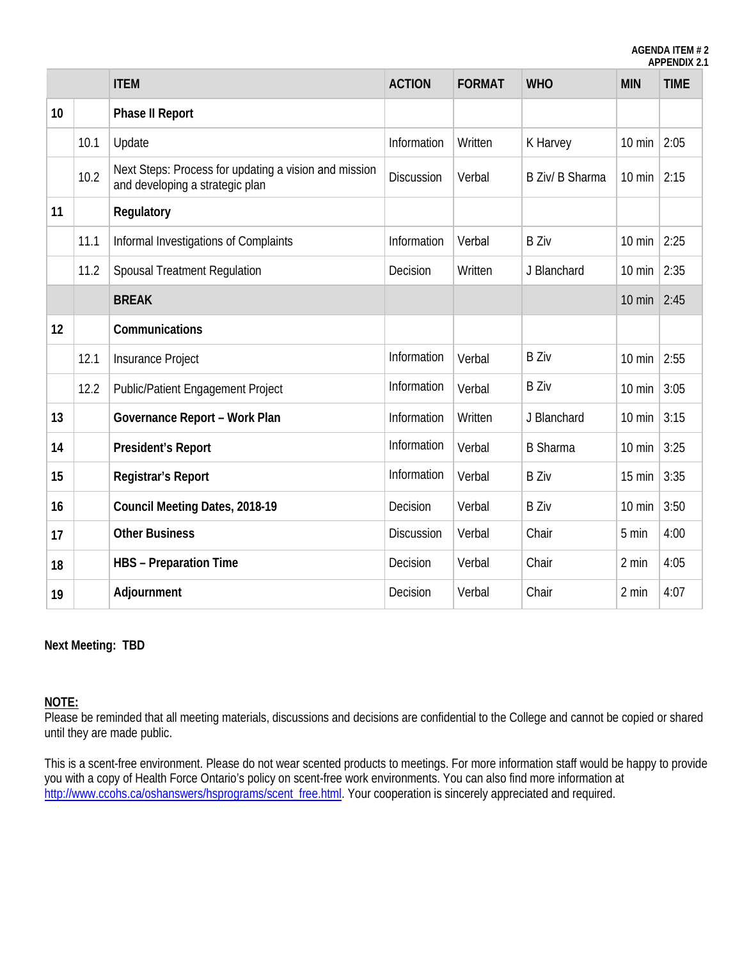**AGENDA ITEM # 2 APPENDIX 2.1**

|    |      | <b>ITEM</b>                                                                              | <b>ACTION</b>     | <b>FORMAT</b> | <b>WHO</b>      | <b>MIN</b>       | <b>TIME</b> |
|----|------|------------------------------------------------------------------------------------------|-------------------|---------------|-----------------|------------------|-------------|
| 10 |      | <b>Phase II Report</b>                                                                   |                   |               |                 |                  |             |
|    | 10.1 | Update                                                                                   | Information       | Written       | K Harvey        | 10 min           | 2:05        |
|    | 10.2 | Next Steps: Process for updating a vision and mission<br>and developing a strategic plan | <b>Discussion</b> | Verbal        | B Ziv/ B Sharma | $10$ min         | 2:15        |
| 11 |      | Regulatory                                                                               |                   |               |                 |                  |             |
|    | 11.1 | Informal Investigations of Complaints                                                    | Information       | Verbal        | <b>B</b> Ziv    | $10 \text{ min}$ | 2:25        |
|    | 11.2 | Spousal Treatment Regulation                                                             | Decision          | Written       | J Blanchard     | $10$ min         | 2:35        |
|    |      | <b>BREAK</b>                                                                             |                   |               |                 | $10 \text{ min}$ | 2:45        |
| 12 |      | Communications                                                                           |                   |               |                 |                  |             |
|    | 12.1 | Insurance Project                                                                        | Information       | Verbal        | <b>B Ziv</b>    | $10$ min         | 2:55        |
|    | 12.2 | <b>Public/Patient Engagement Project</b>                                                 | Information       | Verbal        | <b>B</b> Ziv    | $10 \text{ min}$ | 3:05        |
| 13 |      | Governance Report - Work Plan                                                            | Information       | Written       | J Blanchard     | $10 \text{ min}$ | 3:15        |
| 14 |      | <b>President's Report</b>                                                                | Information       | Verbal        | <b>B</b> Sharma | $10 \text{ min}$ | 3:25        |
| 15 |      | <b>Registrar's Report</b>                                                                | Information       | Verbal        | <b>B</b> Ziv    | 15 min           | 3:35        |
| 16 |      | Council Meeting Dates, 2018-19                                                           | Decision          | Verbal        | <b>B</b> Ziv    | $10 \text{ min}$ | 3:50        |
| 17 |      | <b>Other Business</b>                                                                    | <b>Discussion</b> | Verbal        | Chair           | 5 min            | 4:00        |
| 18 |      | <b>HBS</b> - Preparation Time                                                            | Decision          | Verbal        | Chair           | 2 min            | 4:05        |
| 19 |      | Adjournment                                                                              | Decision          | Verbal        | Chair           | 2 min            | 4:07        |

#### **Next Meeting: TBD**

# **NOTE:**

Please be reminded that all meeting materials, discussions and decisions are confidential to the College and cannot be copied or shared until they are made public.

This is a scent-free environment. Please do not wear scented products to meetings. For more information staff would be happy to provide you with a copy of Health Force Ontario's policy on scent-free work environments. You can also find more information at [http://www.ccohs.ca/oshanswers/hsprograms/scent\\_free.html.](http://www.ccohs.ca/oshanswers/hsprograms/scent_free.html) Your cooperation is sincerely appreciated and required.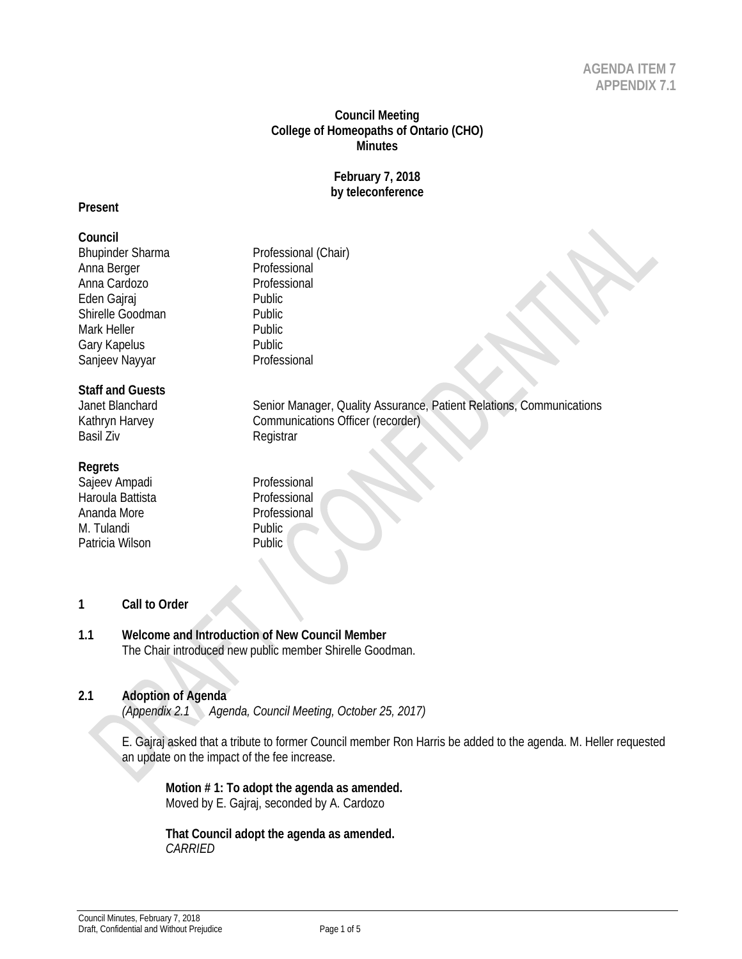# **Council Meeting College of Homeopaths of Ontario (CHO) Minutes**

#### **February 7, 2018 by teleconference**

#### **Present**

#### **Council**

Bhupinder Sharma<br>
Anna Berger<br>
Anna Berger<br>
Professional Anna Berger Anna Cardozo **Professional** Eden Gajraj Public Shirelle Goodman Public Mark Heller **Public** Gary Kapelus **Cary Kapelus**<br>Sanieev Navvar **Australian Constant Professional** Sanjeev Nayyar

# **Staff and Guests**

Basil Ziv **Registrar** 

#### **Regrets**

Sajeev Ampadi Professional Haroula Battista **Professional** Ananda More **Professional** M. Tulandi Public Patricia Wilson **Public** 

Janet Blanchard Senior Manager, Quality Assurance, Patient Relations, Communications Kathryn Harvey **Communications Officer** (recorder)

- **1 Call to Order**
- **1.1 Welcome and Introduction of New Council Member** The Chair introduced new public member Shirelle Goodman.

# **2.1 Adoption of Agenda**

*(Appendix 2.1 Agenda, Council Meeting, October 25, 2017)*

E. Gajraj asked that a tribute to former Council member Ron Harris be added to the agenda. M. Heller requested an update on the impact of the fee increase.

**Motion # 1: To adopt the agenda as amended.**  Moved by E. Gajraj, seconded by A. Cardozo

**That Council adopt the agenda as amended.**  *CARRIED*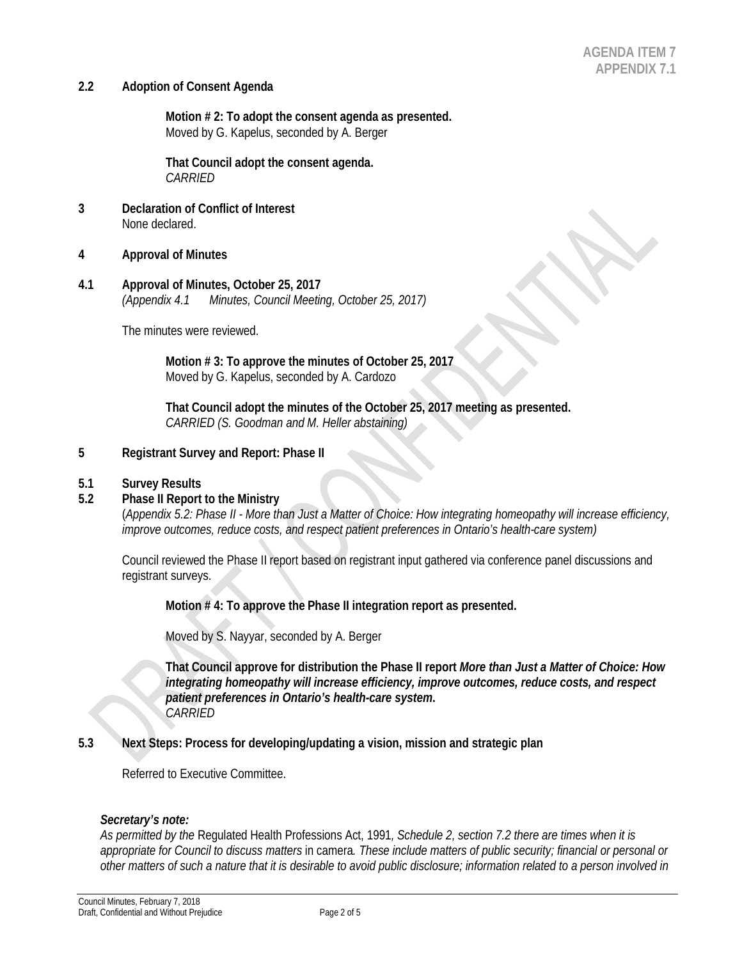#### **2.2 Adoption of Consent Agenda**

**Motion # 2: To adopt the consent agenda as presented.** Moved by G. Kapelus, seconded by A. Berger

**That Council adopt the consent agenda.** *CARRIED* 

- **3 Declaration of Conflict of Interest** None declared.
- **4 Approval of Minutes**
- **4.1 Approval of Minutes, October 25, 2017** *(Appendix 4.1 Minutes, Council Meeting, October 25, 2017)*

The minutes were reviewed.

**Motion # 3: To approve the minutes of October 25, 2017** Moved by G. Kapelus, seconded by A. Cardozo

**That Council adopt the minutes of the October 25, 2017 meeting as presented.** *CARRIED (S. Goodman and M. Heller abstaining)*

#### **5 Registrant Survey and Report: Phase II**

#### **5.1 Survey Results**

#### **5.2 Phase II Report to the Ministry**

(*Appendix 5.2: Phase II - More than Just a Matter of Choice: How integrating homeopathy will increase efficiency, improve outcomes, reduce costs, and respect patient preferences in Ontario's health-care system)*

Council reviewed the Phase II report based on registrant input gathered via conference panel discussions and registrant surveys.

**Motion # 4: To approve the Phase II integration report as presented.**

Moved by S. Nayyar, seconded by A. Berger

**That Council approve for distribution the Phase II report** *More than Just a Matter of Choice: How integrating homeopathy will increase efficiency, improve outcomes, reduce costs, and respect patient preferences in Ontario's health-care system***.**  *CARRIED* 

**5.3 Next Steps: Process for developing/updating a vision, mission and strategic plan**

Referred to Executive Committee.

#### *Secretary's note:*

*As permitted by the* Regulated Health Professions Act, 1991*, Schedule 2, section 7.2 there are times when it is appropriate for Council to discuss matters* in camera*. These include matters of public security; financial or personal or other matters of such a nature that it is desirable to avoid public disclosure; information related to a person involved in*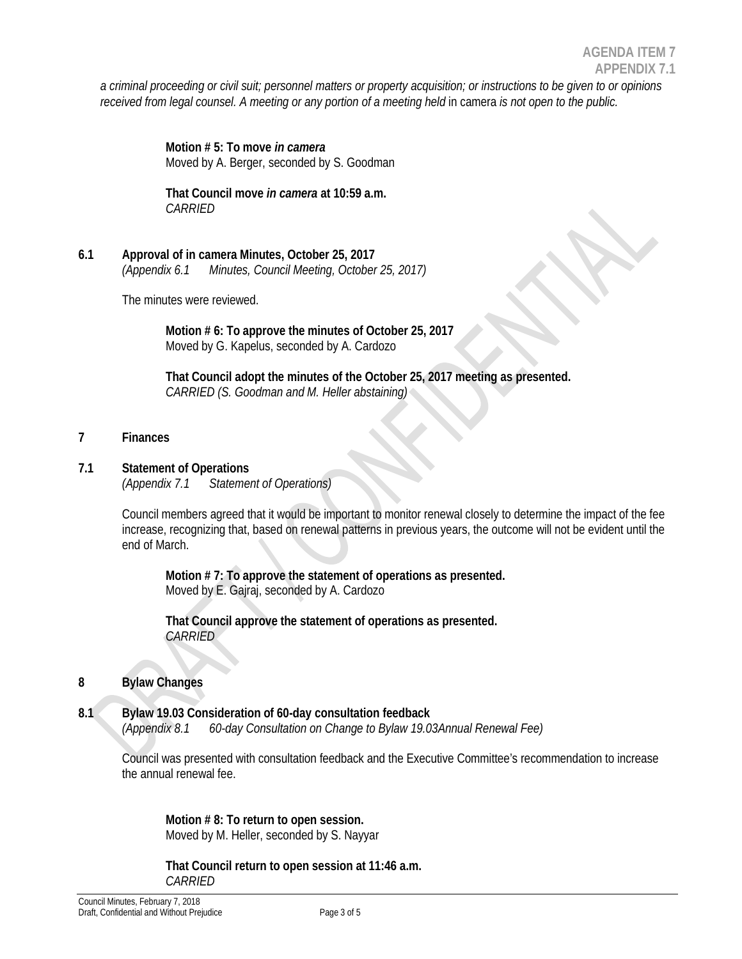*a criminal proceeding or civil suit; personnel matters or property acquisition; or instructions to be given to or opinions received from legal counsel. A meeting or any portion of a meeting held* in camera *is not open to the public.* 

> **Motion # 5: To move** *in camera* Moved by A. Berger, seconded by S. Goodman

**That Council move** *in camera* **at 10:59 a.m.** *CARRIED* 

**6.1 Approval of in camera Minutes, October 25, 2017** *(Appendix 6.1 Minutes, Council Meeting, October 25, 2017)* 

The minutes were reviewed.

**Motion # 6: To approve the minutes of October 25, 2017** Moved by G. Kapelus, seconded by A. Cardozo

**That Council adopt the minutes of the October 25, 2017 meeting as presented.** *CARRIED (S. Goodman and M. Heller abstaining)*

# **7 Finances**

# **7.1 Statement of Operations**

*(Appendix 7.1 Statement of Operations)* 

Council members agreed that it would be important to monitor renewal closely to determine the impact of the fee increase, recognizing that, based on renewal patterns in previous years, the outcome will not be evident until the end of March.

**Motion # 7: To approve the statement of operations as presented.**  Moved by E. Gajraj, seconded by A. Cardozo

**That Council approve the statement of operations as presented.** *CARRIED*

# **8 Bylaw Changes**

**8.1 Bylaw 19.03 Consideration of 60-day consultation feedback** *(Appendix 8.1 60-day Consultation on Change to Bylaw 19.03Annual Renewal Fee)* 

Council was presented with consultation feedback and the Executive Committee's recommendation to increase the annual renewal fee.

**Motion # 8: To return to open session.** Moved by M. Heller, seconded by S. Nayyar

**That Council return to open session at 11:46 a.m.** *CARRIED*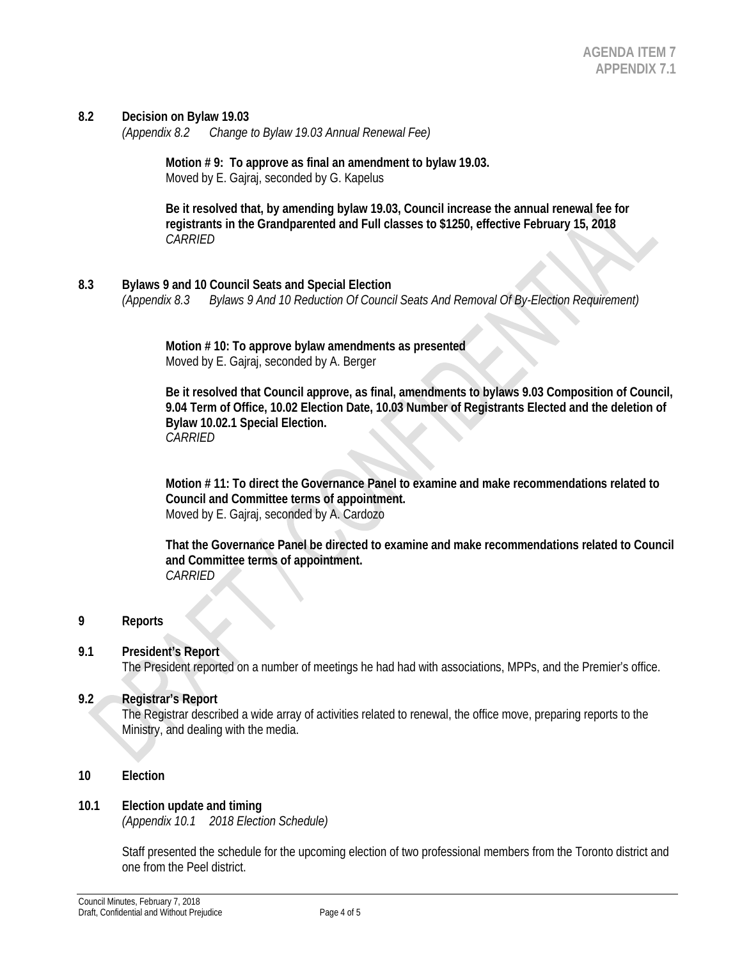#### **8.2 Decision on Bylaw 19.03**

*(Appendix 8.2 Change to Bylaw 19.03 Annual Renewal Fee)* 

**Motion # 9: To approve as final an amendment to bylaw 19.03.** Moved by E. Gajraj, seconded by G. Kapelus

**Be it resolved that, by amending bylaw 19.03, Council increase the annual renewal fee for registrants in the Grandparented and Full classes to \$1250, effective February 15, 2018** *CARRIED*

**8.3 Bylaws 9 and 10 Council Seats and Special Election** *(Appendix 8.3 Bylaws 9 And 10 Reduction Of Council Seats And Removal Of By-Election Requirement)* 

> **Motion # 10: To approve bylaw amendments as presented** Moved by E. Gajraj, seconded by A. Berger

**Be it resolved that Council approve, as final, amendments to bylaws 9.03 Composition of Council, 9.04 Term of Office, 10.02 Election Date, 10.03 Number of Registrants Elected and the deletion of Bylaw 10.02.1 Special Election.** *CARRIED*

**Motion # 11: To direct the Governance Panel to examine and make recommendations related to Council and Committee terms of appointment.** Moved by E. Gajraj, seconded by A. Cardozo

**That the Governance Panel be directed to examine and make recommendations related to Council and Committee terms of appointment.** *CARRIED*

#### **9 Reports**

#### **9.1 President's Report**

The President reported on a number of meetings he had had with associations, MPPs, and the Premier's office.

#### **9.2 Registrar's Report**

The Registrar described a wide array of activities related to renewal, the office move, preparing reports to the Ministry, and dealing with the media.

#### **10 Election**

#### **10.1 Election update and timing**

*(Appendix 10.1 2018 Election Schedule)* 

Staff presented the schedule for the upcoming election of two professional members from the Toronto district and one from the Peel district.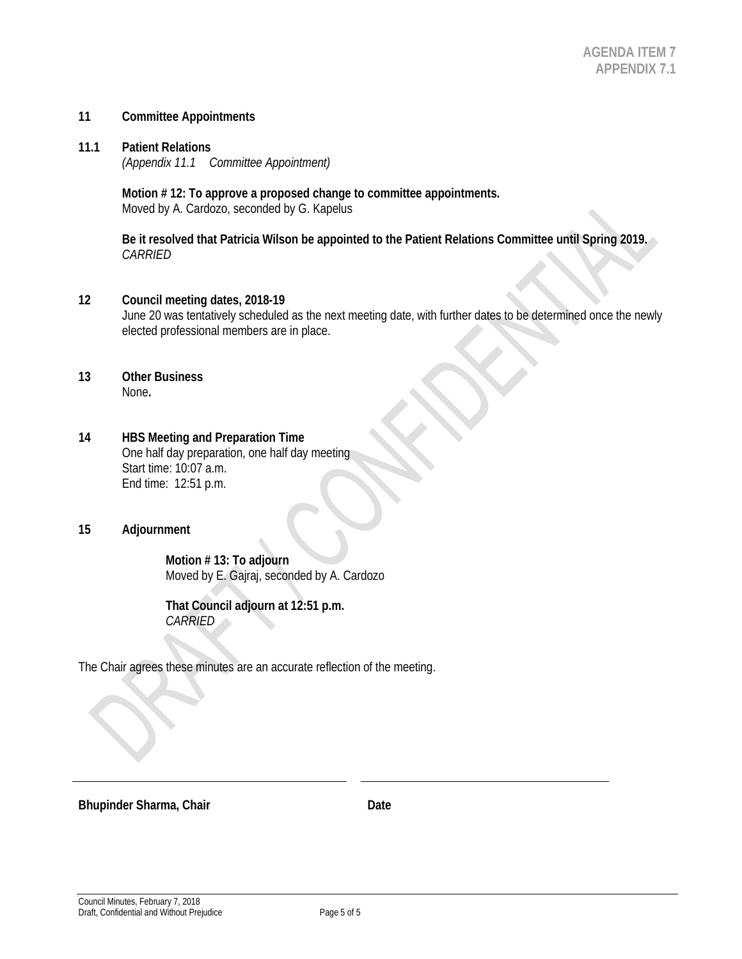#### **11 Committee Appointments**

**11.1 Patient Relations** *(Appendix 11.1 Committee Appointment)* 

> **Motion # 12: To approve a proposed change to committee appointments.** Moved by A. Cardozo, seconded by G. Kapelus

**Be it resolved that Patricia Wilson be appointed to the Patient Relations Committee until Spring 2019.**  *CARRIED*

#### **12 Council meeting dates, 2018-19**

June 20 was tentatively scheduled as the next meeting date, with further dates to be determined once the newly elected professional members are in place.

#### **13 Other Business** None**.**

#### **14 HBS Meeting and Preparation Time**

One half day preparation, one half day meeting Start time: 10:07 a.m. End time: 12:51 p.m.

#### **15 Adjournment**

**Motion # 13: To adjourn** Moved by E. Gajraj, seconded by A. Cardozo

**That Council adjourn at 12:51 p.m.** *CARRIED* 

The Chair agrees these minutes are an accurate reflection of the meeting.

**Bhupinder Sharma, Chair Date Date**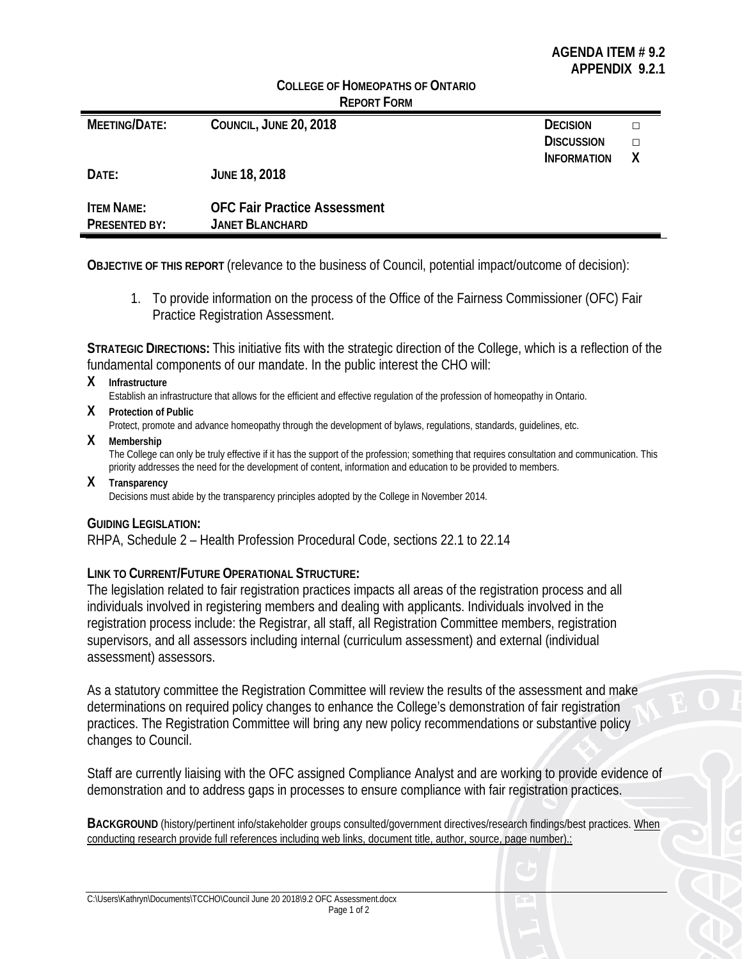|                      | <u>CULLEGE OF HUMEOPATHS OF ONTARIO</u><br><b>REPORT FORM</b> |                    |   |
|----------------------|---------------------------------------------------------------|--------------------|---|
| MEETING/DATE:        | COUNCIL, JUNE 20, 2018                                        | <b>DECISION</b>    | □ |
|                      |                                                               | <b>DISCUSSION</b>  | П |
|                      |                                                               | <b>INFORMATION</b> | Χ |
| DATE:                | <b>JUNE 18, 2018</b>                                          |                    |   |
| <b>ITEM NAME:</b>    | <b>OFC Fair Practice Assessment</b>                           |                    |   |
|                      |                                                               |                    |   |
| <b>PRESENTED BY:</b> | <b>JANET BLANCHARD</b>                                        |                    |   |

**COLLEGE OF HOMEODATHS OF ONTABIO** 

**OBJECTIVE OF THIS REPORT** (relevance to the business of Council, potential impact/outcome of decision):

1. To provide information on the process of the Office of the Fairness Commissioner (OFC) Fair Practice Registration Assessment.

**STRATEGIC DIRECTIONS:** This initiative fits with the strategic direction of the College, which is a reflection of the fundamental components of our mandate. In the public interest the CHO will:

**X Infrastructure**

Establish an infrastructure that allows for the efficient and effective regulation of the profession of homeopathy in Ontario.

- **X Protection of Public** Protect, promote and advance homeopathy through the development of bylaws, regulations, standards, guidelines, etc.
- **X Membership**

The College can only be truly effective if it has the support of the profession; something that requires consultation and communication. This priority addresses the need for the development of content, information and education to be provided to members.

**X Transparency** Decisions must abide by the transparency principles adopted by the College in November 2014.

# **GUIDING LEGISLATION:**

RHPA, Schedule 2 – Health Profession Procedural Code, sections 22.1 to 22.14

# **LINK TO CURRENT/FUTURE OPERATIONAL STRUCTURE:**

The legislation related to fair registration practices impacts all areas of the registration process and all individuals involved in registering members and dealing with applicants. Individuals involved in the registration process include: the Registrar, all staff, all Registration Committee members, registration supervisors, and all assessors including internal (curriculum assessment) and external (individual assessment) assessors.

As a statutory committee the Registration Committee will review the results of the assessment and make determinations on required policy changes to enhance the College's demonstration of fair registration practices. The Registration Committee will bring any new policy recommendations or substantive policy changes to Council.

Staff are currently liaising with the OFC assigned Compliance Analyst and are working to provide evidence of demonstration and to address gaps in processes to ensure compliance with fair registration practices.

**BACKGROUND** (history/pertinent info/stakeholder groups consulted/government directives/research findings/best practices. When conducting research provide full references including web links, document title, author, source, page number).: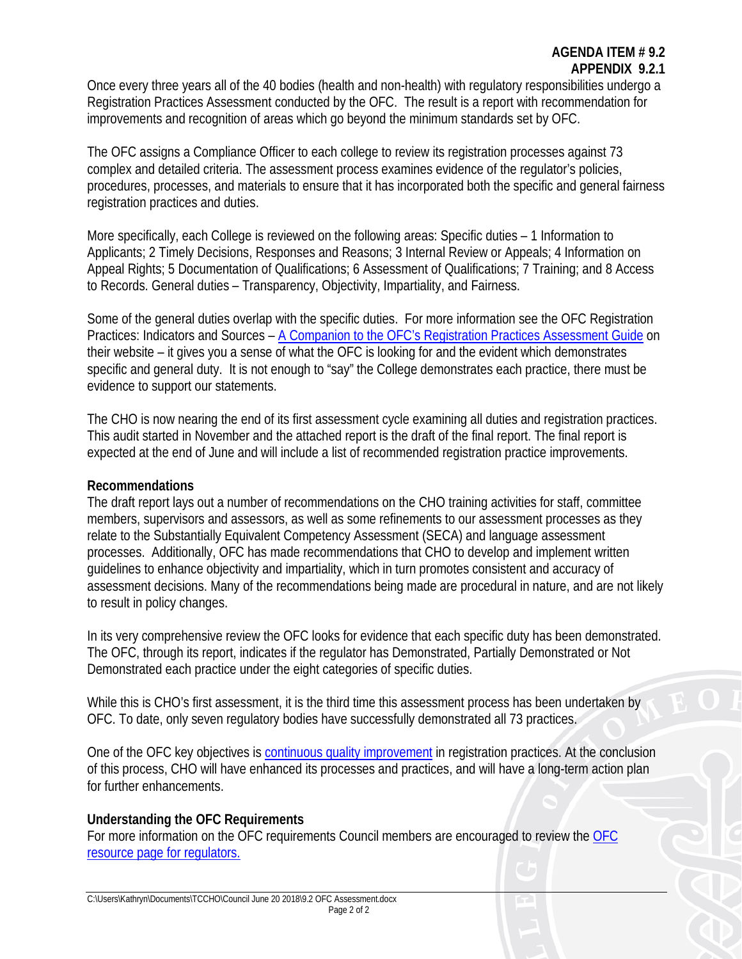# **AGENDA ITEM # 9.2 APPENDIX 9.2.1**

Once every three years all of the 40 bodies (health and non-health) with regulatory responsibilities undergo a Registration Practices Assessment conducted by the OFC. The result is a report with recommendation for improvements and recognition of areas which go beyond the minimum standards set by OFC.

The OFC assigns a Compliance Officer to each college to review its registration processes against 73 complex and detailed criteria. The assessment process examines evidence of the regulator's policies, procedures, processes, and materials to ensure that it has incorporated both the specific and general fairness registration practices and duties.

More specifically, each College is reviewed on the following areas: Specific duties – 1 Information to Applicants; 2 Timely Decisions, Responses and Reasons; 3 Internal Review or Appeals; 4 Information on Appeal Rights; 5 Documentation of Qualifications; 6 Assessment of Qualifications; 7 Training; and 8 Access to Records. General duties – Transparency, Objectivity, Impartiality, and Fairness.

Some of the general duties overlap with the specific duties. For more information see the OFC Registration Practices: Indicators and Sources – [A Companion to the OFC's Registration Practices Assessment Guide](http://www.fairnesscommissioner.ca/index_en.php?page=about/current_projects/registration_practices_companion) on their website – it gives you a sense of what the OFC is looking for and the evident which demonstrates specific and general duty. It is not enough to "say" the College demonstrates each practice, there must be evidence to support our statements.

The CHO is now nearing the end of its first assessment cycle examining all duties and registration practices. This audit started in November and the attached report is the draft of the final report. The final report is expected at the end of June and will include a list of recommended registration practice improvements.

# **Recommendations**

The draft report lays out a number of recommendations on the CHO training activities for staff, committee members, supervisors and assessors, as well as some refinements to our assessment processes as they relate to the Substantially Equivalent Competency Assessment (SECA) and language assessment processes. Additionally, OFC has made recommendations that CHO to develop and implement written guidelines to enhance objectivity and impartiality, which in turn promotes consistent and accuracy of assessment decisions. Many of the recommendations being made are procedural in nature, and are not likely to result in policy changes.

In its very comprehensive review the OFC looks for evidence that each specific duty has been demonstrated. The OFC, through its report, indicates if the regulator has Demonstrated, Partially Demonstrated or Not Demonstrated each practice under the eight categories of specific duties.

While this is CHO's first assessment, it is the third time this assessment process has been undertaken by OFC. To date, only seven regulatory bodies have successfully demonstrated all 73 practices.

One of the OFC key objectives is [continuous quality improvement](http://www.fairnesscommissioner.ca/files_docs/content/pdf/en/Strategy-for-Continuous-Improvement-Eng.pdf) in registration practices. At the conclusion of this process, CHO will have enhanced its processes and practices, and will have a long-term action plan for further enhancements.

# **Understanding the OFC Requirements**

For more information on the OFC requirements Council members are encouraged to review the [OFC](http://www.fairnesscommissioner.ca/index_en.php?page=resources/regulators)  [resource page for regulators.](http://www.fairnesscommissioner.ca/index_en.php?page=resources/regulators)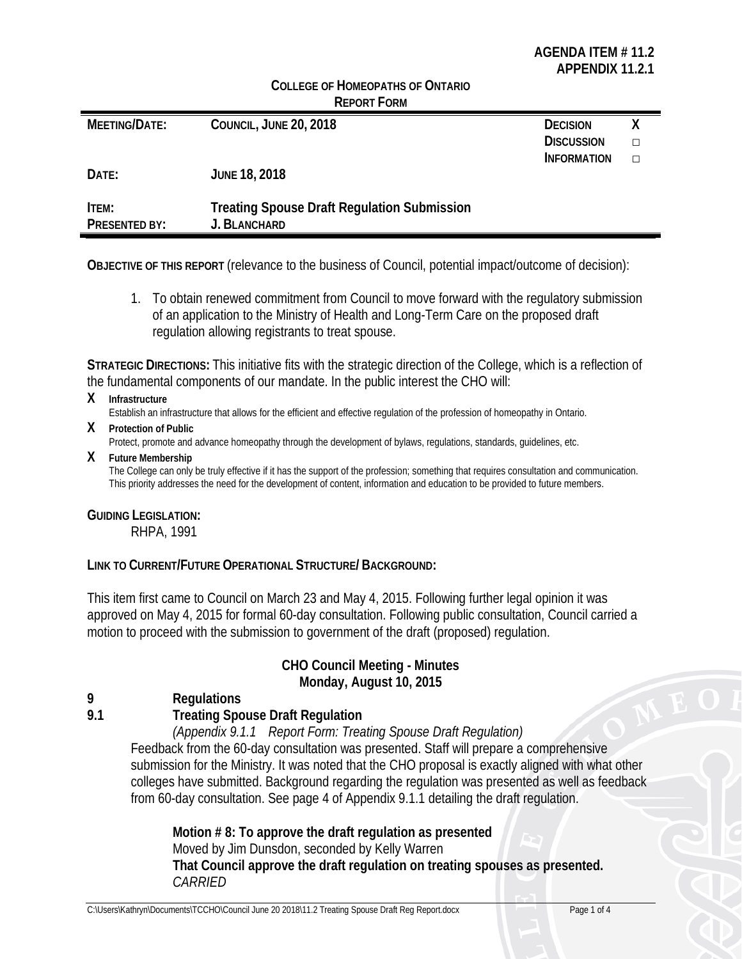# **AGENDA ITEM # 11.2 APPENDIX 11.2.1**

|                      | <b>REPORT FORM</b>                                 |                    |   |
|----------------------|----------------------------------------------------|--------------------|---|
| <b>MEETING/DATE:</b> | COUNCIL, JUNE 20, 2018                             | <b>DECISION</b>    |   |
|                      |                                                    | <b>DISCUSSION</b>  | п |
|                      |                                                    | <b>INFORMATION</b> | П |
| DATE:                | <b>JUNE 18, 2018</b>                               |                    |   |
| ITEM:                | <b>Treating Spouse Draft Regulation Submission</b> |                    |   |
| PRESENTED BY:        | J. BLANCHARD                                       |                    |   |

**COLLEGE OF HOMEOPATHS OF ONTARIO** 

**OBJECTIVE OF THIS REPORT** (relevance to the business of Council, potential impact/outcome of decision):

1. To obtain renewed commitment from Council to move forward with the regulatory submission of an application to the Ministry of Health and Long-Term Care on the proposed draft regulation allowing registrants to treat spouse.

**STRATEGIC DIRECTIONS:** This initiative fits with the strategic direction of the College, which is a reflection of the fundamental components of our mandate. In the public interest the CHO will:

**X Infrastructure**

Establish an infrastructure that allows for the efficient and effective regulation of the profession of homeopathy in Ontario.

**X Protection of Public**

Protect, promote and advance homeopathy through the development of bylaws, regulations, standards, guidelines, etc.

**X Future Membership**

The College can only be truly effective if it has the support of the profession; something that requires consultation and communication. This priority addresses the need for the development of content, information and education to be provided to future members.

# **GUIDING LEGISLATION:**

RHPA, 1991

# **LINK TO CURRENT/FUTURE OPERATIONAL STRUCTURE/ BACKGROUND:**

This item first came to Council on March 23 and May 4, 2015. Following further legal opinion it was approved on May 4, 2015 for formal 60-day consultation. Following public consultation, Council carried a motion to proceed with the submission to government of the draft (proposed) regulation.

# **CHO Council Meeting - Minutes Monday, August 10, 2015**

**9 Regulations**

**9.1 Treating Spouse Draft Regulation**

*(Appendix 9.1.1 Report Form: Treating Spouse Draft Regulation)*

Feedback from the 60-day consultation was presented. Staff will prepare a comprehensive submission for the Ministry. It was noted that the CHO proposal is exactly aligned with what other colleges have submitted. Background regarding the regulation was presented as well as feedback from 60-day consultation. See page 4 of Appendix 9.1.1 detailing the draft regulation.

**Motion # 8: To approve the draft regulation as presented** Moved by Jim Dunsdon, seconded by Kelly Warren **That Council approve the draft regulation on treating spouses as presented.** *CARRIED*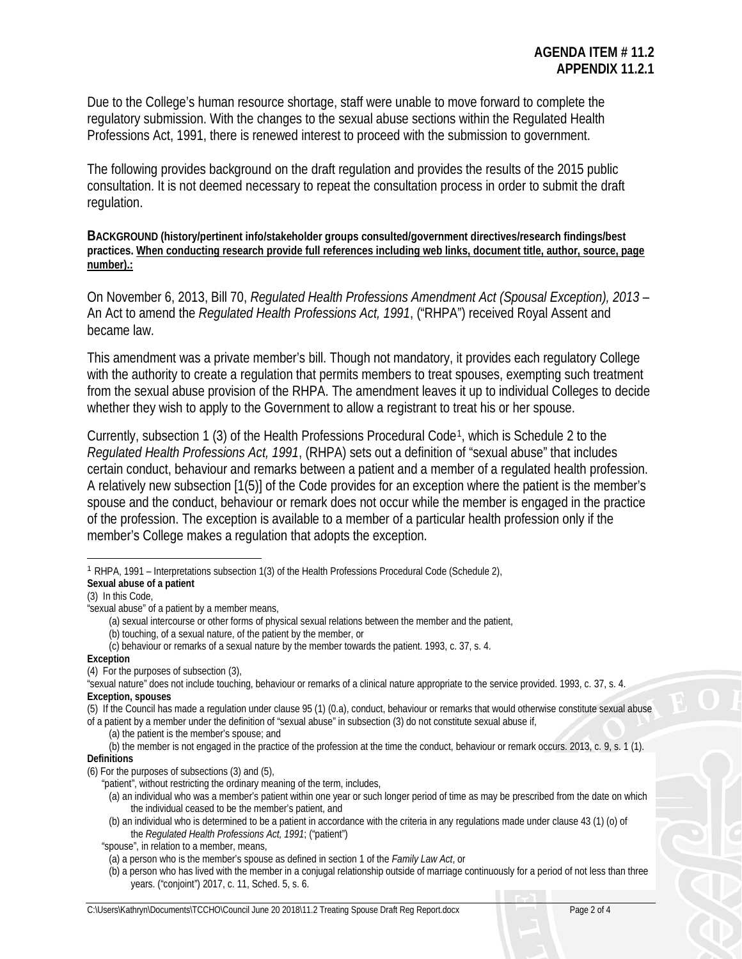Due to the College's human resource shortage, staff were unable to move forward to complete the regulatory submission. With the changes to the sexual abuse sections within the Regulated Health Professions Act, 1991, there is renewed interest to proceed with the submission to government.

The following provides background on the draft regulation and provides the results of the 2015 public consultation. It is not deemed necessary to repeat the consultation process in order to submit the draft regulation.

**BACKGROUND (history/pertinent info/stakeholder groups consulted/government directives/research findings/best practices. When conducting research provide full references including web links, document title, author, source, page number).:**

On November 6, 2013, Bill 70, *Regulated Health Professions Amendment Act (Spousal Exception), 2013* – An Act to amend the *Regulated Health Professions Act, 1991*, ("RHPA") received Royal Assent and became law.

This amendment was a private member's bill. Though not mandatory, it provides each regulatory College with the authority to create a regulation that permits members to treat spouses, exempting such treatment from the sexual abuse provision of the RHPA. The amendment leaves it up to individual Colleges to decide whether they wish to apply to the Government to allow a registrant to treat his or her spouse.

Currently, subsection 1 (3) of the Health Professions Procedural Code[1](#page-10-0), which is Schedule 2 to the *Regulated Health Professions Act, 1991*, (RHPA) sets out a definition of "sexual abuse" that includes certain conduct, behaviour and remarks between a patient and a member of a regulated health profession. A relatively new subsection [1(5)] of the Code provides for an exception where the patient is the member's spouse and the conduct, behaviour or remark does not occur while the member is engaged in the practice of the profession. The exception is available to a member of a particular health profession only if the member's College makes a regulation that adopts the exception.

**Sexual abuse of a patient**

(3) In this Code,

**Exception**

(4) For the purposes of subsection (3),

"sexual nature" does not include touching, behaviour or remarks of a clinical nature appropriate to the service provided. 1993, c. 37, s. 4. **Exception, spouses**

(5) If the Council has made a regulation under clause 95 (1) (0.a), conduct, behaviour or remarks that would otherwise constitute sexual abuse of a patient by a member under the definition of "sexual abuse" in subsection (3) do not constitute sexual abuse if,

(a) the patient is the member's spouse; and

<span id="page-10-0"></span> $\overline{a}$ <sup>1</sup> RHPA, 1991 – Interpretations subsection 1(3) of the Health Professions Procedural Code (Schedule 2),

<sup>&</sup>quot;sexual abuse" of a patient by a member means,

<sup>(</sup>a) sexual intercourse or other forms of physical sexual relations between the member and the patient,

<sup>(</sup>b) touching, of a sexual nature, of the patient by the member, or

<sup>(</sup>c) behaviour or remarks of a sexual nature by the member towards the patient. 1993, c. 37, s. 4.

<sup>(</sup>b) the member is not engaged in the practice of the profession at the time the conduct, behaviour or remark occurs. 2013, c. 9, s. 1 (1). **Definitions**

<sup>(6)</sup> For the purposes of subsections (3) and (5),

<sup>&</sup>quot;patient", without restricting the ordinary meaning of the term, includes,

<sup>(</sup>a) an individual who was a member's patient within one year or such longer period of time as may be prescribed from the date on which the individual ceased to be the member's patient, and

<sup>(</sup>b) an individual who is determined to be a patient in accordance with the criteria in any regulations made under clause 43 (1) (o) of the *Regulated Health Professions Act, 1991*; ("patient")

<sup>&</sup>quot;spouse", in relation to a member, means,

<sup>(</sup>a) a person who is the member's spouse as defined in section 1 of the *Family Law Act*, or

<sup>(</sup>b) a person who has lived with the member in a conjugal relationship outside of marriage continuously for a period of not less than three years. ("conjoint") 2017, c. 11, Sched. 5, s. 6.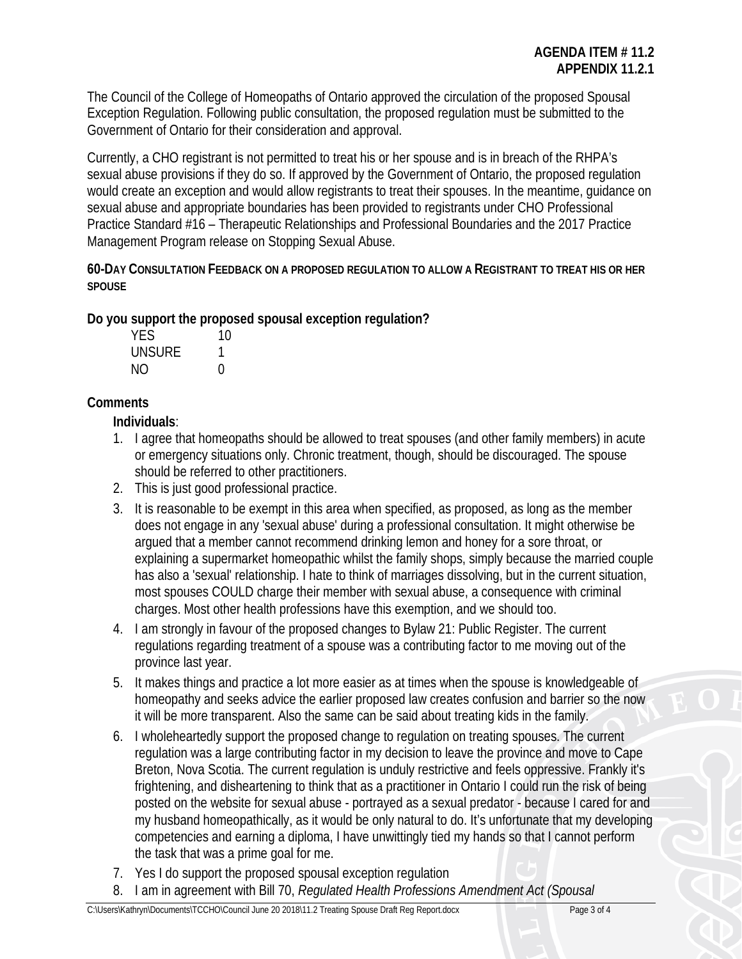The Council of the College of Homeopaths of Ontario approved the circulation of the proposed Spousal Exception Regulation. Following public consultation, the proposed regulation must be submitted to the Government of Ontario for their consideration and approval.

Currently, a CHO registrant is not permitted to treat his or her spouse and is in breach of the RHPA's sexual abuse provisions if they do so. If approved by the Government of Ontario, the proposed regulation would create an exception and would allow registrants to treat their spouses. In the meantime, guidance on sexual abuse and appropriate boundaries has been provided to registrants under CHO Professional Practice Standard #16 – Therapeutic Relationships and Professional Boundaries and the 2017 Practice Management Program release on Stopping Sexual Abuse.

**60-DAY CONSULTATION FEEDBACK ON A PROPOSED REGULATION TO ALLOW A REGISTRANT TO TREAT HIS OR HER SPOUSE**

**Do you support the proposed spousal exception regulation?**

| YES    | 10            |
|--------|---------------|
| UNSURE |               |
| NΟ     | $\mathcal{L}$ |

# **Comments**

**Individuals**:

- 1. I agree that homeopaths should be allowed to treat spouses (and other family members) in acute or emergency situations only. Chronic treatment, though, should be discouraged. The spouse should be referred to other practitioners.
- 2. This is just good professional practice.
- 3. It is reasonable to be exempt in this area when specified, as proposed, as long as the member does not engage in any 'sexual abuse' during a professional consultation. It might otherwise be argued that a member cannot recommend drinking lemon and honey for a sore throat, or explaining a supermarket homeopathic whilst the family shops, simply because the married couple has also a 'sexual' relationship. I hate to think of marriages dissolving, but in the current situation, most spouses COULD charge their member with sexual abuse, a consequence with criminal charges. Most other health professions have this exemption, and we should too.
- 4. I am strongly in favour of the proposed changes to Bylaw 21: Public Register. The current regulations regarding treatment of a spouse was a contributing factor to me moving out of the province last year.
- 5. It makes things and practice a lot more easier as at times when the spouse is knowledgeable of homeopathy and seeks advice the earlier proposed law creates confusion and barrier so the now it will be more transparent. Also the same can be said about treating kids in the family.
- 6. I wholeheartedly support the proposed change to regulation on treating spouses. The current regulation was a large contributing factor in my decision to leave the province and move to Cape Breton, Nova Scotia. The current regulation is unduly restrictive and feels oppressive. Frankly it's frightening, and disheartening to think that as a practitioner in Ontario I could run the risk of being posted on the website for sexual abuse - portrayed as a sexual predator - because I cared for and my husband homeopathically, as it would be only natural to do. It's unfortunate that my developing competencies and earning a diploma, I have unwittingly tied my hands so that I cannot perform the task that was a prime goal for me.
- 7. Yes I do support the proposed spousal exception regulation
- 8. I am in agreement with Bill 70, *Regulated Health Professions Amendment Act (Spousal*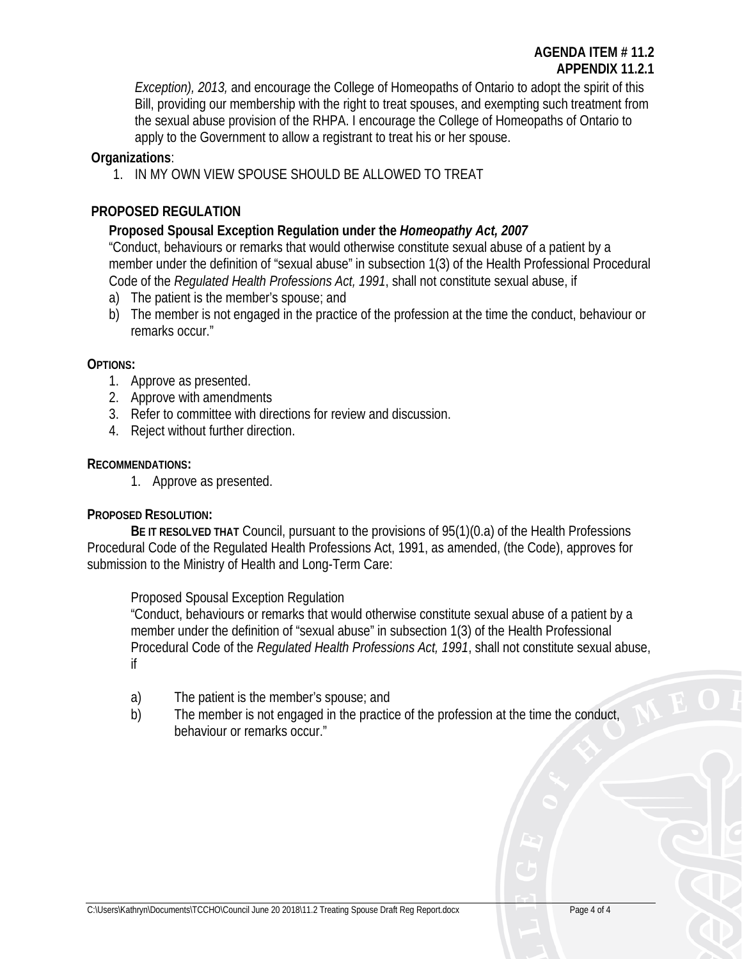*Exception), 2013,* and encourage the College of Homeopaths of Ontario to adopt the spirit of this Bill, providing our membership with the right to treat spouses, and exempting such treatment from the sexual abuse provision of the RHPA. I encourage the College of Homeopaths of Ontario to apply to the Government to allow a registrant to treat his or her spouse.

# **Organizations**:

1. IN MY OWN VIEW SPOUSE SHOULD BE ALLOWED TO TREAT

# **PROPOSED REGULATION**

# **Proposed Spousal Exception Regulation under the** *Homeopathy Act, 2007*

"Conduct, behaviours or remarks that would otherwise constitute sexual abuse of a patient by a member under the definition of "sexual abuse" in subsection 1(3) of the Health Professional Procedural Code of the *Regulated Health Professions Act, 1991*, shall not constitute sexual abuse, if

- a) The patient is the member's spouse; and
- b) The member is not engaged in the practice of the profession at the time the conduct, behaviour or remarks occur."

# **OPTIONS:**

- 1. Approve as presented.
- 2. Approve with amendments
- 3. Refer to committee with directions for review and discussion.
- 4. Reject without further direction.

# **RECOMMENDATIONS:**

1. Approve as presented.

# **PROPOSED RESOLUTION:**

**BE IT RESOLVED THAT** Council, pursuant to the provisions of 95(1)(0.a) of the Health Professions Procedural Code of the Regulated Health Professions Act, 1991, as amended, (the Code), approves for submission to the Ministry of Health and Long-Term Care:

Proposed Spousal Exception Regulation

"Conduct, behaviours or remarks that would otherwise constitute sexual abuse of a patient by a member under the definition of "sexual abuse" in subsection 1(3) of the Health Professional Procedural Code of the *Regulated Health Professions Act, 1991*, shall not constitute sexual abuse, if

- a) The patient is the member's spouse; and
- b) The member is not engaged in the practice of the profession at the time the conduct, behaviour or remarks occur."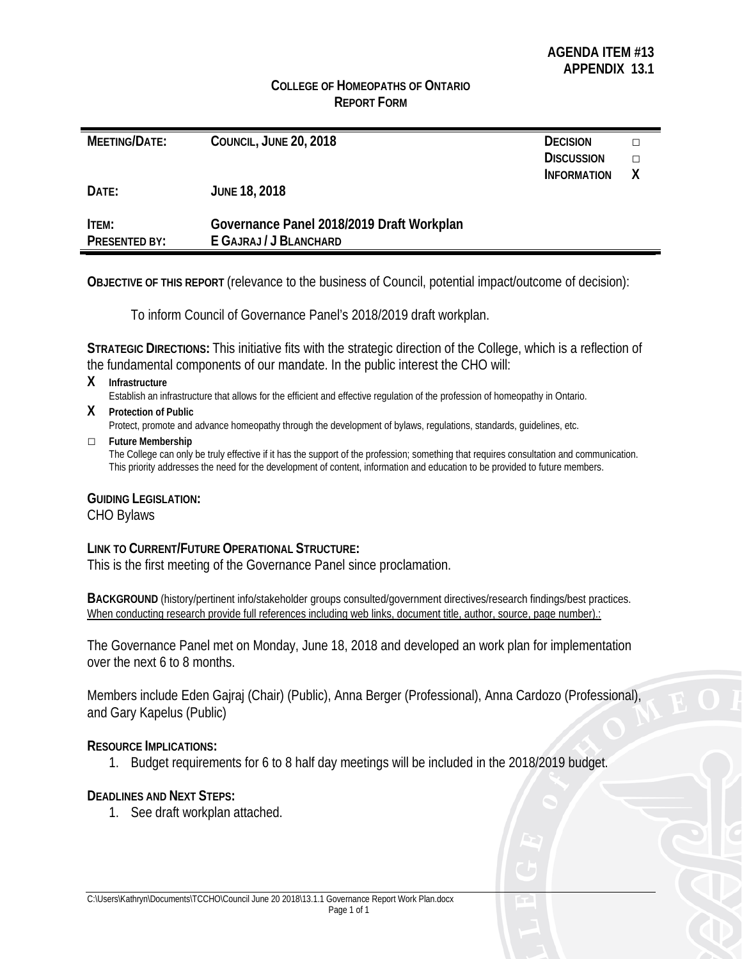# **COLLEGE OF HOMEOPATHS OF ONTARIO REPORT FORM**

| MEETING/DATE:        | COUNCIL, JUNE 20, 2018                    | <b>DECISION</b>    |   |
|----------------------|-------------------------------------------|--------------------|---|
|                      |                                           | <b>DISCUSSION</b>  | п |
|                      |                                           | <b>INFORMATION</b> | Χ |
| DATE:                | <b>JUNE 18, 2018</b>                      |                    |   |
| ITEM:                | Governance Panel 2018/2019 Draft Workplan |                    |   |
| <b>PRESENTED BY:</b> | E GAJRAJ / J BLANCHARD                    |                    |   |

**OBJECTIVE OF THIS REPORT** (relevance to the business of Council, potential impact/outcome of decision):

To inform Council of Governance Panel's 2018/2019 draft workplan.

**STRATEGIC DIRECTIONS:** This initiative fits with the strategic direction of the College, which is a reflection of the fundamental components of our mandate. In the public interest the CHO will:

**X Infrastructure**

Establish an infrastructure that allows for the efficient and effective regulation of the profession of homeopathy in Ontario.

**X Protection of Public**

Protect, promote and advance homeopathy through the development of bylaws, regulations, standards, guidelines, etc.

**□ Future Membership**

The College can only be truly effective if it has the support of the profession; something that requires consultation and communication. This priority addresses the need for the development of content, information and education to be provided to future members.

# **GUIDING LEGISLATION:**

CHO Bylaws

# **LINK TO CURRENT/FUTURE OPERATIONAL STRUCTURE:**

This is the first meeting of the Governance Panel since proclamation.

**BACKGROUND** (history/pertinent info/stakeholder groups consulted/government directives/research findings/best practices. When conducting research provide full references including web links, document title, author, source, page number).:

The Governance Panel met on Monday, June 18, 2018 and developed an work plan for implementation over the next 6 to 8 months.

Members include Eden Gajraj (Chair) (Public), Anna Berger (Professional), Anna Cardozo (Professional), and Gary Kapelus (Public)

# **RESOURCE IMPLICATIONS:**

1. Budget requirements for 6 to 8 half day meetings will be included in the 2018/2019 budget.

# **DEADLINES AND NEXT STEPS:**

1. See draft workplan attached.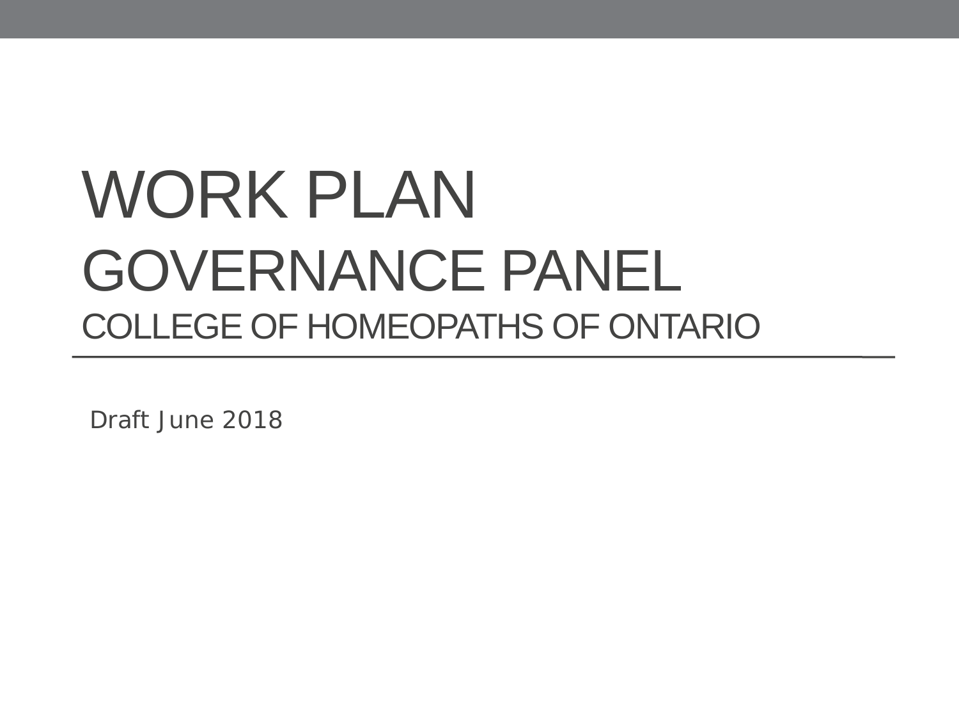# WORK PLAN GOVERNANCE PANEL COLLEGE OF HOMEOPATHS OF ONTARIO

Draft June 2018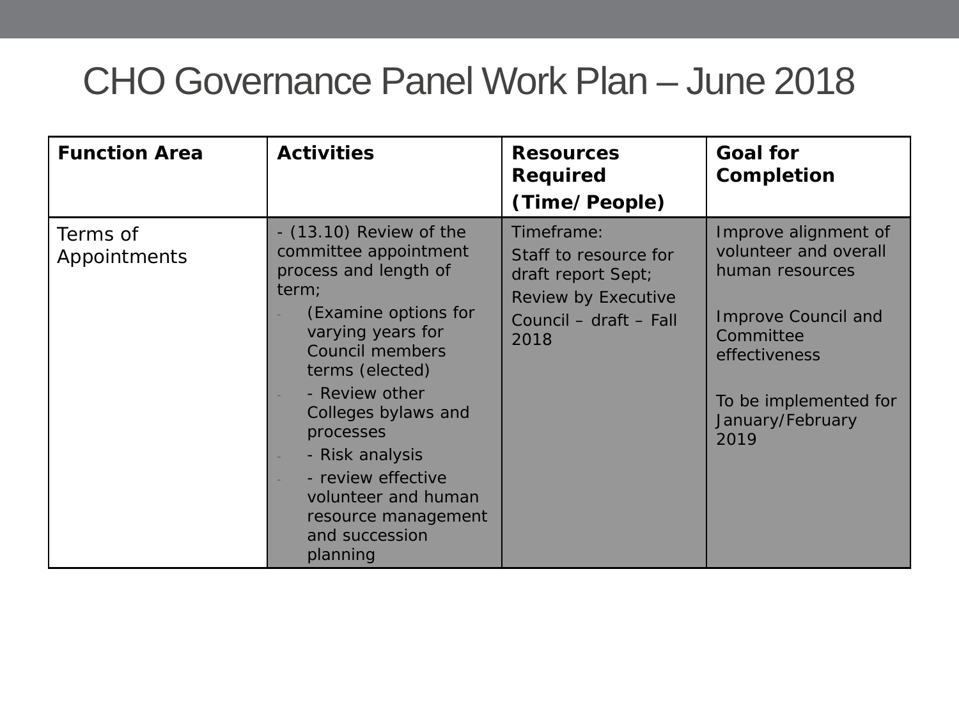| <b>Function Area</b>     | <b>Activities</b>                                                                                                                                                                                                                                                                                                                                        | <b>Resources</b><br><b>Required</b><br>(Time/People)                                                               | <b>Goal for</b><br><b>Completion</b>                                                                                                                                              |
|--------------------------|----------------------------------------------------------------------------------------------------------------------------------------------------------------------------------------------------------------------------------------------------------------------------------------------------------------------------------------------------------|--------------------------------------------------------------------------------------------------------------------|-----------------------------------------------------------------------------------------------------------------------------------------------------------------------------------|
| Terms of<br>Appointments | $ (13.10)$ Review of the<br>committee appointment<br>process and length of<br>term;<br>(Examine options for<br>varying years for<br><b>Council members</b><br>terms (elected)<br>- Review other<br>Colleges bylaws and<br>processes<br>- Risk analysis<br>- review effective<br>volunteer and human<br>resource management<br>and succession<br>planning | Timeframe:<br>Staff to resource for<br>draft report Sept;<br>Review by Executive<br>Council - draft - Fall<br>2018 | Improve alignment of<br>volunteer and overall<br>human resources<br><b>Improve Council and</b><br>Committee<br>effectiveness<br>To be implemented for<br>January/February<br>2019 |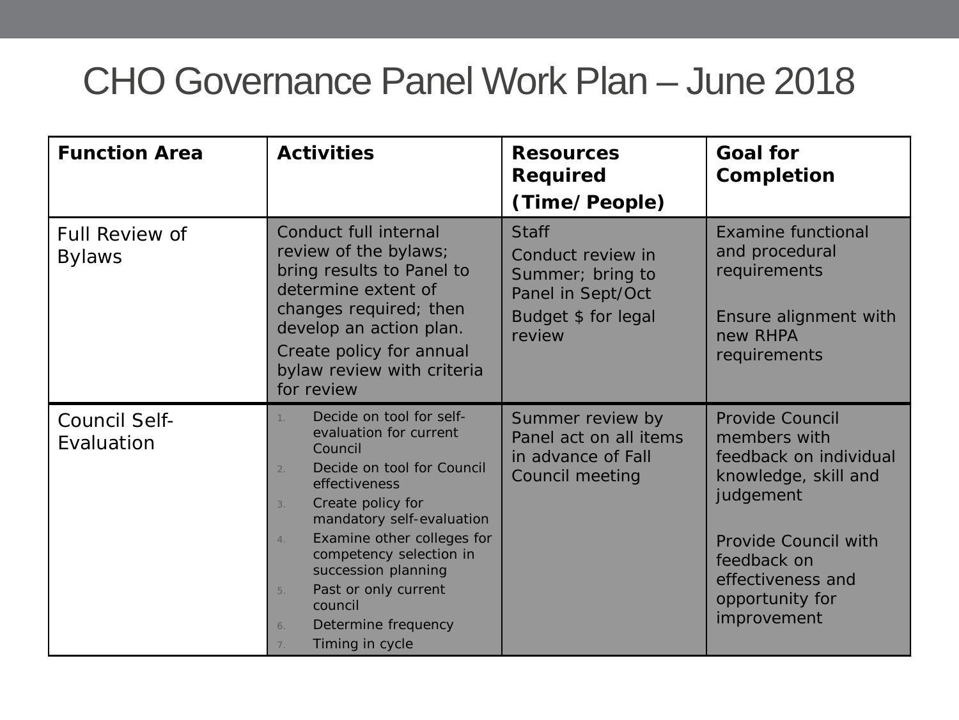| <b>Function Area</b>                   | <b>Activities</b>                                                                                                                                                                                                                                                                                                                                                                           | <b>Resources</b><br><b>Required</b><br>(Time/People)                                                        | <b>Goal for</b><br>Completion                                                                                                                                                                       |
|----------------------------------------|---------------------------------------------------------------------------------------------------------------------------------------------------------------------------------------------------------------------------------------------------------------------------------------------------------------------------------------------------------------------------------------------|-------------------------------------------------------------------------------------------------------------|-----------------------------------------------------------------------------------------------------------------------------------------------------------------------------------------------------|
| <b>Full Review of</b><br><b>Bylaws</b> | Conduct full internal<br>review of the bylaws;<br>bring results to Panel to<br>determine extent of<br>changes required; then<br>develop an action plan.<br>Create policy for annual<br>bylaw review with criteria<br>for review                                                                                                                                                             | <b>Staff</b><br>Conduct review in<br>Summer; bring to<br>Panel in Sept/Oct<br>Budget \$ for legal<br>review | <b>Examine functional</b><br>and procedural<br>requirements<br>Ensure alignment with<br>new RHPA<br>requirements                                                                                    |
| <b>Council Self-</b><br>Evaluation     | Decide on tool for self-<br>evaluation for current<br>Council<br>Decide on tool for Council<br>$\overline{2}$ .<br>effectiveness<br>Create policy for<br>3.<br>mandatory self-evaluation<br>Examine other colleges for<br>$\overline{4}$ .<br>competency selection in<br>succession planning<br>Past or only current<br>5.<br>council<br>Determine frequency<br>6.<br>Timing in cycle<br>7. | Summer review by<br>Panel act on all items<br>in advance of Fall<br>Council meeting                         | Provide Council<br>members with<br>feedback on individual<br>knowledge, skill and<br>judgement<br><b>Provide Council with</b><br>feedback on<br>effectiveness and<br>opportunity for<br>improvement |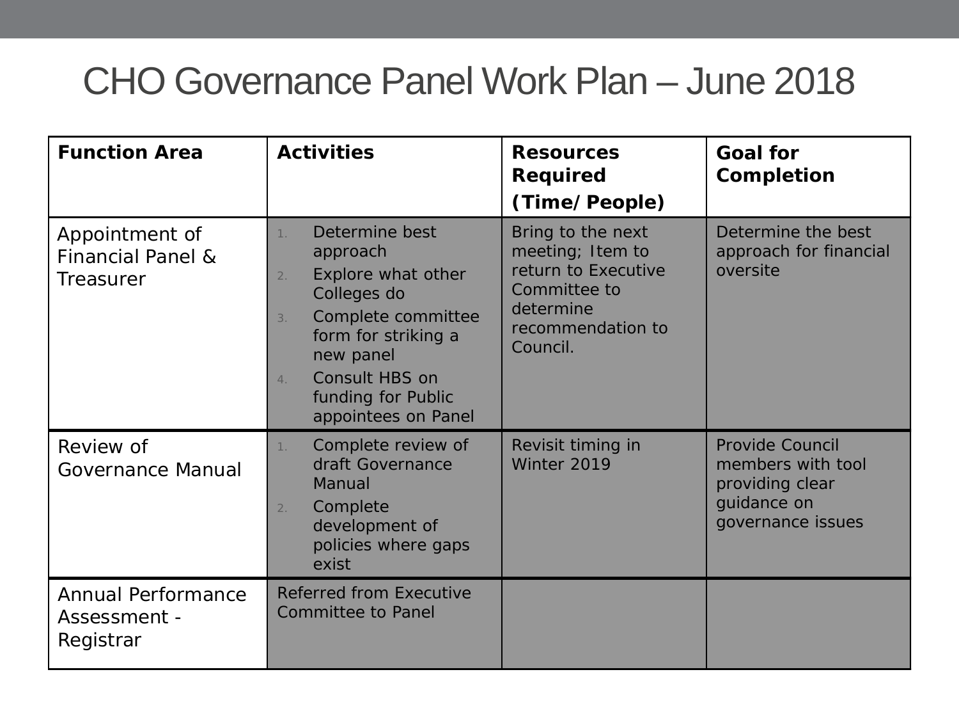| <b>Function Area</b>                                               | <b>Activities</b>                                                                                                                                                                                                            | <b>Resources</b><br><b>Required</b><br>(Time/People)                                                                       | <b>Goal for</b><br>Completion                                                                      |
|--------------------------------------------------------------------|------------------------------------------------------------------------------------------------------------------------------------------------------------------------------------------------------------------------------|----------------------------------------------------------------------------------------------------------------------------|----------------------------------------------------------------------------------------------------|
| Appointment of<br><b>Financial Panel &amp;</b><br><b>Treasurer</b> | Determine best<br>1 <sup>1</sup><br>approach<br>Explore what other<br>2.<br>Colleges do<br>Complete committee<br>3.<br>form for striking a<br>new panel<br>Consult HBS on<br>4.<br>funding for Public<br>appointees on Panel | Bring to the next<br>meeting; Item to<br>return to Executive<br>Committee to<br>determine<br>recommendation to<br>Council. | Determine the best<br>approach for financial<br>oversite                                           |
| Review of<br><b>Governance Manual</b>                              | Complete review of<br>1.<br>draft Governance<br>Manual<br>Complete<br>2.<br>development of<br>policies where gaps<br>exist                                                                                                   | Revisit timing in<br>Winter 2019                                                                                           | <b>Provide Council</b><br>members with tool<br>providing clear<br>guidance on<br>governance issues |
| <b>Annual Performance</b><br>Assessment -<br>Registrar             | <b>Referred from Executive</b><br><b>Committee to Panel</b>                                                                                                                                                                  |                                                                                                                            |                                                                                                    |